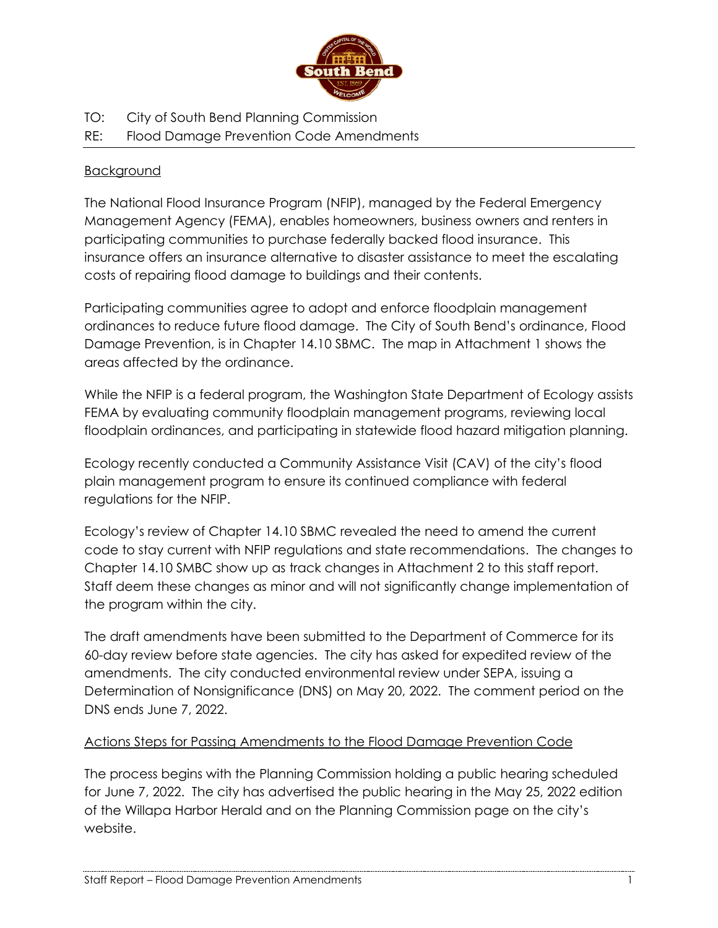

- TO: City of South Bend Planning Commission
- RE: Flood Damage Prevention Code Amendments

# **Background**

The National Flood Insurance Program (NFIP), managed by the Federal Emergency Management Agency (FEMA), enables homeowners, business owners and renters in participating communities to purchase federally backed flood insurance. This insurance offers an insurance alternative to disaster assistance to meet the escalating costs of repairing flood damage to buildings and their contents.

Participating communities agree to adopt and enforce floodplain management ordinances to reduce future flood damage. The City of South Bend's ordinance, Flood Damage Prevention, is in Chapter 14.10 SBMC. The map in Attachment 1 shows the areas affected by the ordinance.

While the NFIP is a federal program, the Washington State Department of Ecology assists FEMA by evaluating community floodplain management programs, reviewing local floodplain ordinances, and participating in statewide flood hazard mitigation planning.

Ecology recently conducted a Community Assistance Visit (CAV) of the city's flood plain management program to ensure its continued compliance with federal regulations for the NFIP.

Ecology's review of Chapter 14.10 SBMC revealed the need to amend the current code to stay current with NFIP regulations and state recommendations. The changes to Chapter 14.10 SMBC show up as track changes in Attachment 2 to this staff report. Staff deem these changes as minor and will not significantly change implementation of the program within the city.

The draft amendments have been submitted to the Department of Commerce for its 60-day review before state agencies. The city has asked for expedited review of the amendments. The city conducted environmental review under SEPA, issuing a Determination of Nonsignificance (DNS) on May 20, 2022. The comment period on the DNS ends June 7, 2022.

# Actions Steps for Passing Amendments to the Flood Damage Prevention Code

The process begins with the Planning Commission holding a public hearing scheduled for June 7, 2022. The city has advertised the public hearing in the May 25, 2022 edition of the Willapa Harbor Herald and on the Planning Commission page on the city's website.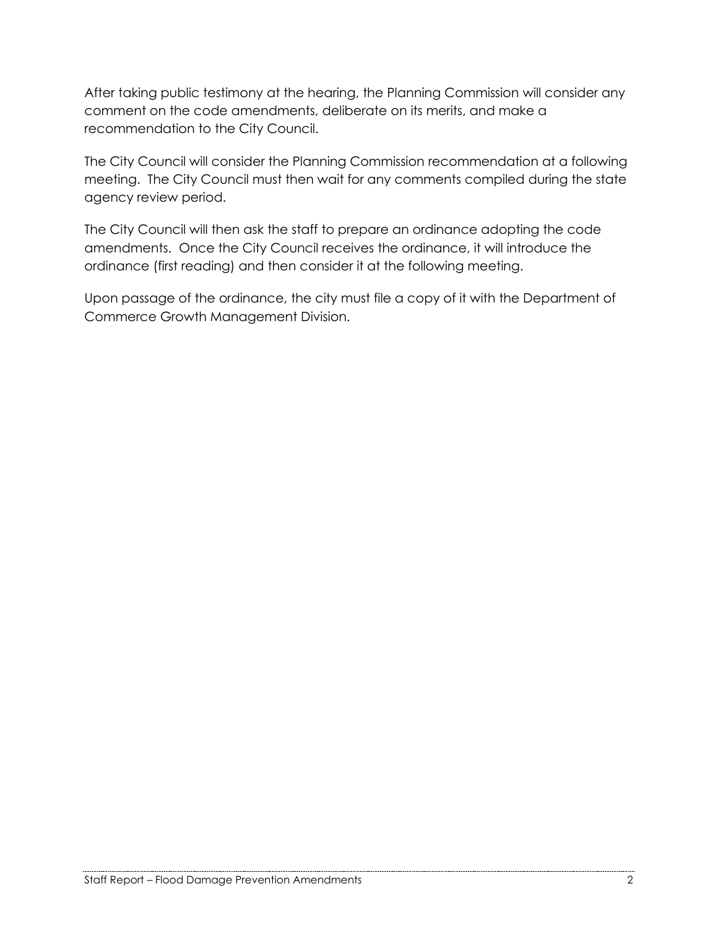After taking public testimony at the hearing, the Planning Commission will consider any comment on the code amendments, deliberate on its merits, and make a recommendation to the City Council.

The City Council will consider the Planning Commission recommendation at a following meeting. The City Council must then wait for any comments compiled during the state agency review period.

The City Council will then ask the staff to prepare an ordinance adopting the code amendments. Once the City Council receives the ordinance, it will introduce the ordinance (first reading) and then consider it at the following meeting.

Upon passage of the ordinance, the city must file a copy of it with the Department of Commerce Growth Management Division.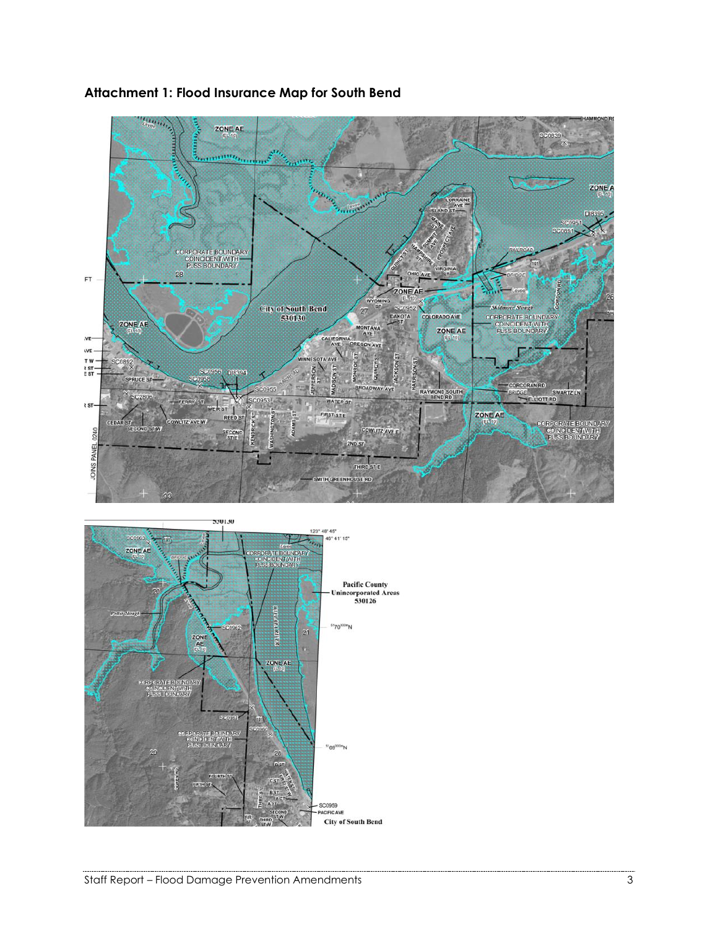

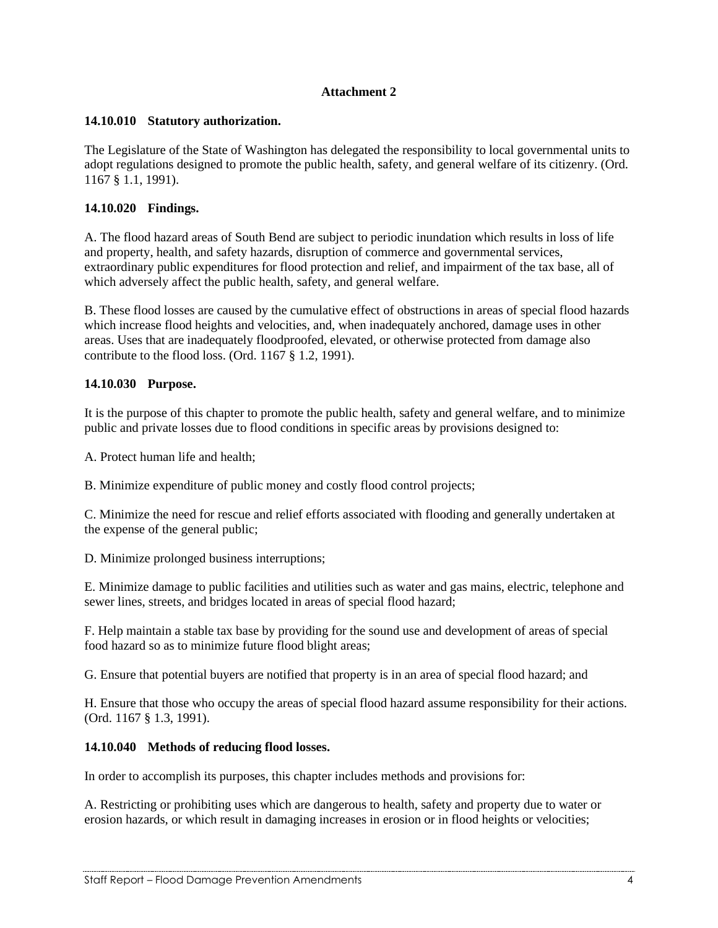## **Attachment 2**

## **14.10.010 Statutory authorization.**

The Legislature of the State of Washington has delegated the responsibility to local governmental units to adopt regulations designed to promote the public health, safety, and general welfare of its citizenry. (Ord. 1167 § 1.1, 1991).

## **14.10.020 Findings.**

A. The flood hazard areas of South Bend are subject to periodic inundation which results in loss of life and property, health, and safety hazards, disruption of commerce and governmental services, extraordinary public expenditures for flood protection and relief, and impairment of the tax base, all of which adversely affect the public health, safety, and general welfare.

B. These flood losses are caused by the cumulative effect of obstructions in areas of special flood hazards which increase flood heights and velocities, and, when inadequately anchored, damage uses in other areas. Uses that are inadequately floodproofed, elevated, or otherwise protected from damage also contribute to the flood loss. (Ord. 1167 § 1.2, 1991).

## **14.10.030 Purpose.**

It is the purpose of this chapter to promote the public health, safety and general welfare, and to minimize public and private losses due to flood conditions in specific areas by provisions designed to:

A. Protect human life and health;

B. Minimize expenditure of public money and costly flood control projects;

C. Minimize the need for rescue and relief efforts associated with flooding and generally undertaken at the expense of the general public;

D. Minimize prolonged business interruptions;

E. Minimize damage to public facilities and utilities such as water and gas mains, electric, telephone and sewer lines, streets, and bridges located in areas of special flood hazard;

F. Help maintain a stable tax base by providing for the sound use and development of areas of special food hazard so as to minimize future flood blight areas;

G. Ensure that potential buyers are notified that property is in an area of special flood hazard; and

H. Ensure that those who occupy the areas of special flood hazard assume responsibility for their actions. (Ord. 1167 § 1.3, 1991).

#### **14.10.040 Methods of reducing flood losses.**

In order to accomplish its purposes, this chapter includes methods and provisions for:

A. Restricting or prohibiting uses which are dangerous to health, safety and property due to water or erosion hazards, or which result in damaging increases in erosion or in flood heights or velocities;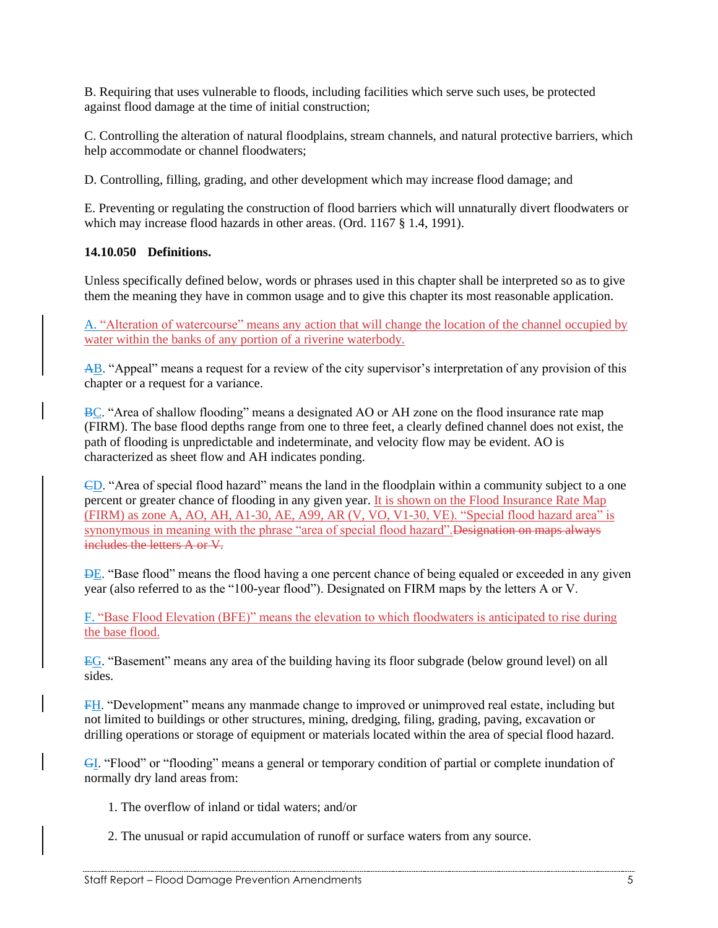B. Requiring that uses vulnerable to floods, including facilities which serve such uses, be protected against flood damage at the time of initial construction;

C. Controlling the alteration of natural floodplains, stream channels, and natural protective barriers, which help accommodate or channel floodwaters;

D. Controlling, filling, grading, and other development which may increase flood damage; and

E. Preventing or regulating the construction of flood barriers which will unnaturally divert floodwaters or which may increase flood hazards in other areas. (Ord. 1167 § 1.4, 1991).

## **14.10.050 Definitions.**

Unless specifically defined below, words or phrases used in this chapter shall be interpreted so as to give them the meaning they have in common usage and to give this chapter its most reasonable application.

A. "Alteration of watercourse" means any action that will change the location of the channel occupied by water within the banks of any portion of a riverine waterbody.

AB. "Appeal" means a request for a review of the city supervisor's interpretation of any provision of this chapter or a request for a variance.

BC. "Area of shallow flooding" means a designated AO or AH zone on the flood insurance rate map (FIRM). The base flood depths range from one to three feet, a clearly defined channel does not exist, the path of flooding is unpredictable and indeterminate, and velocity flow may be evident. AO is characterized as sheet flow and AH indicates ponding.

CD. "Area of special flood hazard" means the land in the floodplain within a community subject to a one percent or greater chance of flooding in any given year. It is shown on the Flood Insurance Rate Map (FIRM) as zone A, AO, AH, A1-30, AE, A99, AR (V, VO, V1-30, VE). "Special flood hazard area" is synonymous in meaning with the phrase "area of special flood hazard". Designation on maps always includes the letters A or V.

**DE**. "Base flood" means the flood having a one percent chance of being equaled or exceeded in any given year (also referred to as the "100-year flood"). Designated on FIRM maps by the letters A or V.

F. "Base Flood Elevation (BFE)" means the elevation to which floodwaters is anticipated to rise during the base flood.

EG. "Basement" means any area of the building having its floor subgrade (below ground level) on all sides.

FH. "Development" means any manmade change to improved or unimproved real estate, including but not limited to buildings or other structures, mining, dredging, filing, grading, paving, excavation or drilling operations or storage of equipment or materials located within the area of special flood hazard.

GI. "Flood" or "flooding" means a general or temporary condition of partial or complete inundation of normally dry land areas from:

- 1. The overflow of inland or tidal waters; and/or
- 2. The unusual or rapid accumulation of runoff or surface waters from any source.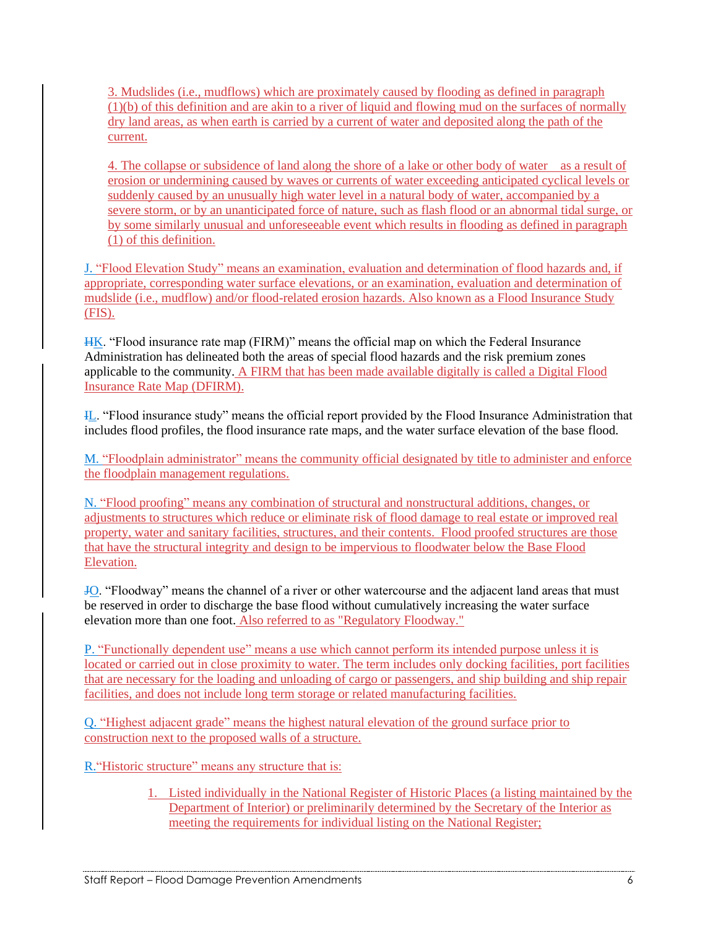3. Mudslides (i.e., mudflows) which are proximately caused by flooding as defined in paragraph (1)(b) of this definition and are akin to a river of liquid and flowing mud on the surfaces of normally dry land areas, as when earth is carried by a current of water and deposited along the path of the current.

4. The collapse or subsidence of land along the shore of a lake or other body of water as a result of erosion or undermining caused by waves or currents of water exceeding anticipated cyclical levels or suddenly caused by an unusually high water level in a natural body of water, accompanied by a severe storm, or by an unanticipated force of nature, such as flash flood or an abnormal tidal surge, or by some similarly unusual and unforeseeable event which results in flooding as defined in paragraph (1) of this definition.

J. "Flood Elevation Study" means an examination, evaluation and determination of flood hazards and, if appropriate, corresponding water surface elevations, or an examination, evaluation and determination of mudslide (i.e., mudflow) and/or flood-related erosion hazards. Also known as a Flood Insurance Study (FIS).

HK. "Flood insurance rate map (FIRM)" means the official map on which the Federal Insurance Administration has delineated both the areas of special flood hazards and the risk premium zones applicable to the community. A FIRM that has been made available digitally is called a Digital Flood Insurance Rate Map (DFIRM).

IL. "Flood insurance study" means the official report provided by the Flood Insurance Administration that includes flood profiles, the flood insurance rate maps, and the water surface elevation of the base flood.

M. "Floodplain administrator" means the community official designated by title to administer and enforce the floodplain management regulations.

N. "Flood proofing" means any combination of structural and nonstructural additions, changes, or adjustments to structures which reduce or eliminate risk of flood damage to real estate or improved real property, water and sanitary facilities, structures, and their contents. Flood proofed structures are those that have the structural integrity and design to be impervious to floodwater below the Base Flood Elevation.

JO. "Floodway" means the channel of a river or other watercourse and the adjacent land areas that must be reserved in order to discharge the base flood without cumulatively increasing the water surface elevation more than one foot. Also referred to as "Regulatory Floodway."

P. "Functionally dependent use" means a use which cannot perform its intended purpose unless it is located or carried out in close proximity to water. The term includes only docking facilities, port facilities that are necessary for the loading and unloading of cargo or passengers, and ship building and ship repair facilities, and does not include long term storage or related manufacturing facilities.

Q. "Highest adjacent grade" means the highest natural elevation of the ground surface prior to construction next to the proposed walls of a structure.

R."Historic structure" means any structure that is:

1. Listed individually in the National Register of Historic Places (a listing maintained by the Department of Interior) or preliminarily determined by the Secretary of the Interior as meeting the requirements for individual listing on the National Register;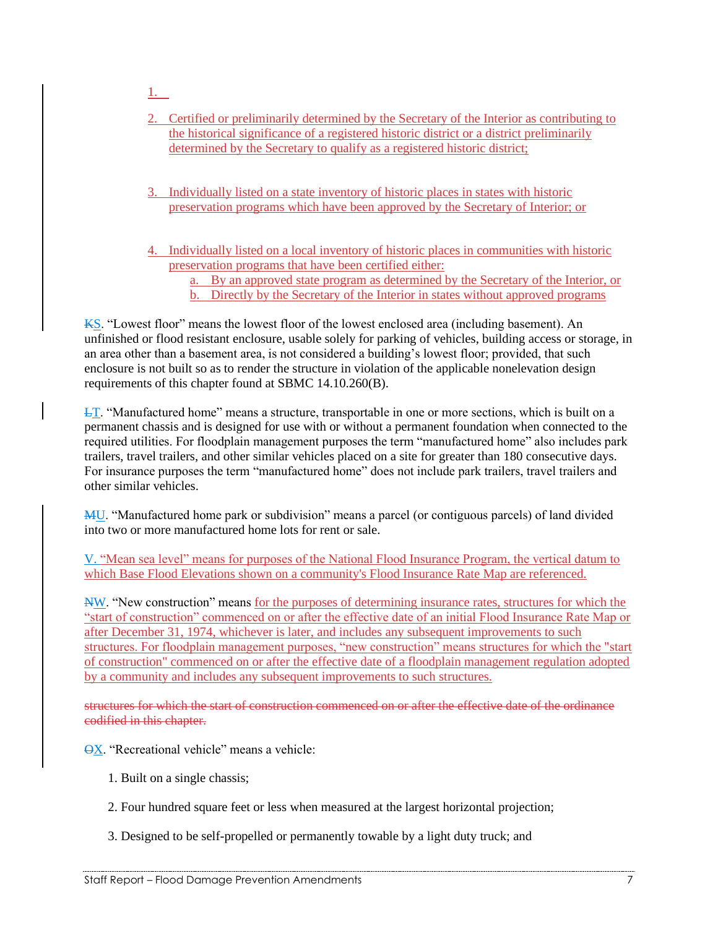- 1.
- 2. Certified or preliminarily determined by the Secretary of the Interior as contributing to the historical significance of a registered historic district or a district preliminarily determined by the Secretary to qualify as a registered historic district;
- 3. Individually listed on a state inventory of historic places in states with historic preservation programs which have been approved by the Secretary of Interior; or
- 4. Individually listed on a local inventory of historic places in communities with historic preservation programs that have been certified either:

a. By an approved state program as determined by the Secretary of the Interior, or b. Directly by the Secretary of the Interior in states without approved programs

KS. "Lowest floor" means the lowest floor of the lowest enclosed area (including basement). An unfinished or flood resistant enclosure, usable solely for parking of vehicles, building access or storage, in an area other than a basement area, is not considered a building's lowest floor; provided, that such enclosure is not built so as to render the structure in violation of the applicable nonelevation design requirements of this chapter found at SBMC 14.10.260(B).

**LT.** "Manufactured home" means a structure, transportable in one or more sections, which is built on a permanent chassis and is designed for use with or without a permanent foundation when connected to the required utilities. For floodplain management purposes the term "manufactured home" also includes park trailers, travel trailers, and other similar vehicles placed on a site for greater than 180 consecutive days. For insurance purposes the term "manufactured home" does not include park trailers, travel trailers and other similar vehicles.

MU. "Manufactured home park or subdivision" means a parcel (or contiguous parcels) of land divided into two or more manufactured home lots for rent or sale.

V. "Mean sea level" means for purposes of the National Flood Insurance Program, the vertical datum to which Base Flood Elevations shown on a community's Flood Insurance Rate Map are referenced.

NW. "New construction" means for the purposes of determining insurance rates, structures for which the "start of construction" commenced on or after the effective date of an initial Flood Insurance Rate Map or after December 31, 1974, whichever is later, and includes any subsequent improvements to such structures. For floodplain management purposes, "new construction" means structures for which the "start of construction" commenced on or after the effective date of a floodplain management regulation adopted by a community and includes any subsequent improvements to such structures.

structures for which the start of construction commenced on or after the effective date of the ordinance codified in this chapter.

OX. "Recreational vehicle" means a vehicle:

- 1. Built on a single chassis;
- 2. Four hundred square feet or less when measured at the largest horizontal projection;
- 3. Designed to be self-propelled or permanently towable by a light duty truck; and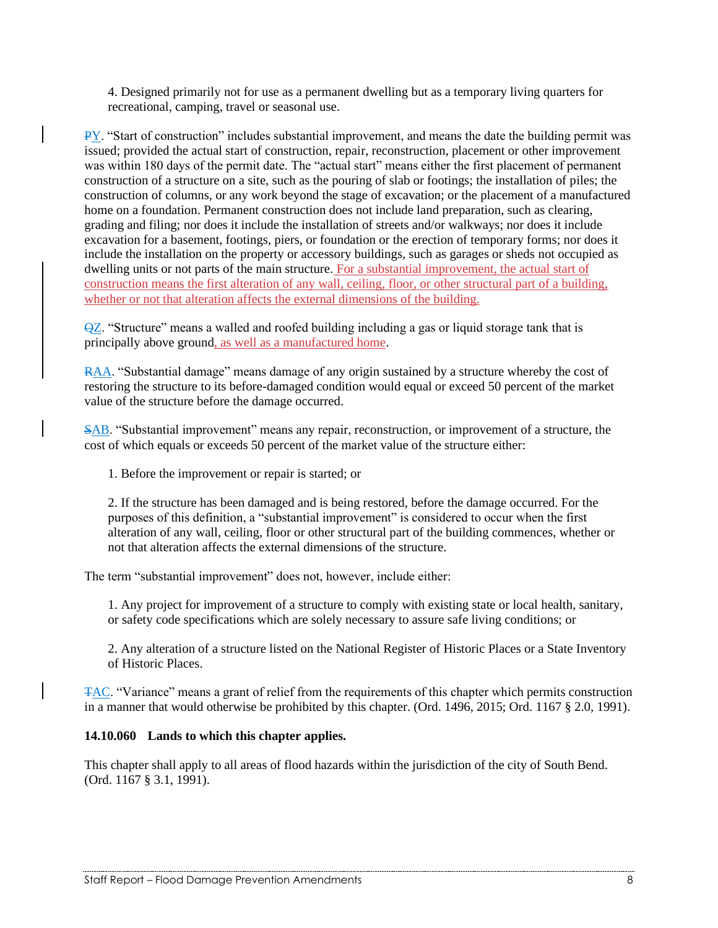4. Designed primarily not for use as a permanent dwelling but as a temporary living quarters for recreational, camping, travel or seasonal use.

PY. "Start of construction" includes substantial improvement, and means the date the building permit was issued; provided the actual start of construction, repair, reconstruction, placement or other improvement was within 180 days of the permit date. The "actual start" means either the first placement of permanent construction of a structure on a site, such as the pouring of slab or footings; the installation of piles; the construction of columns, or any work beyond the stage of excavation; or the placement of a manufactured home on a foundation. Permanent construction does not include land preparation, such as clearing, grading and filing; nor does it include the installation of streets and/or walkways; nor does it include excavation for a basement, footings, piers, or foundation or the erection of temporary forms; nor does it include the installation on the property or accessory buildings, such as garages or sheds not occupied as dwelling units or not parts of the main structure. For a substantial improvement, the actual start of construction means the first alteration of any wall, ceiling, floor, or other structural part of a building, whether or not that alteration affects the external dimensions of the building.

 $\overline{QZ}$ . "Structure" means a walled and roofed building including a gas or liquid storage tank that is principally above ground, as well as a manufactured home.

RAA. "Substantial damage" means damage of any origin sustained by a structure whereby the cost of restoring the structure to its before-damaged condition would equal or exceed 50 percent of the market value of the structure before the damage occurred.

SAB. "Substantial improvement" means any repair, reconstruction, or improvement of a structure, the cost of which equals or exceeds 50 percent of the market value of the structure either:

1. Before the improvement or repair is started; or

2. If the structure has been damaged and is being restored, before the damage occurred. For the purposes of this definition, a "substantial improvement" is considered to occur when the first alteration of any wall, ceiling, floor or other structural part of the building commences, whether or not that alteration affects the external dimensions of the structure.

The term "substantial improvement" does not, however, include either:

1. Any project for improvement of a structure to comply with existing state or local health, sanitary, or safety code specifications which are solely necessary to assure safe living conditions; or

2. Any alteration of a structure listed on the National Register of Historic Places or a State Inventory of Historic Places.

TAC. "Variance" means a grant of relief from the requirements of this chapter which permits construction in a manner that would otherwise be prohibited by this chapter. (Ord. 1496, 2015; Ord. 1167 § 2.0, 1991).

## **14.10.060 Lands to which this chapter applies.**

This chapter shall apply to all areas of flood hazards within the jurisdiction of the city of South Bend. (Ord. 1167 § 3.1, 1991).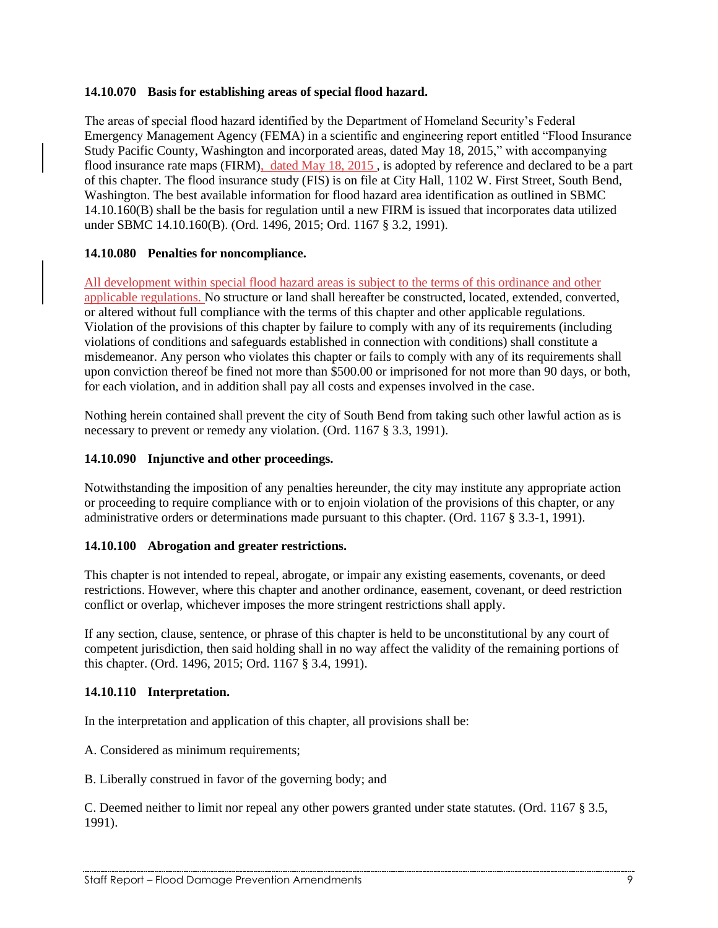## **14.10.070 Basis for establishing areas of special flood hazard.**

The areas of special flood hazard identified by the Department of Homeland Security's Federal Emergency Management Agency (FEMA) in a scientific and engineering report entitled "Flood Insurance Study Pacific County, Washington and incorporated areas, dated May 18, 2015," with accompanying flood insurance rate maps (FIRM), dated May 18, 2015, is adopted by reference and declared to be a part of this chapter. The flood insurance study (FIS) is on file at City Hall, 1102 W. First Street, South Bend, Washington. The best available information for flood hazard area identification as outlined in SBMC 14.10.160(B) shall be the basis for regulation until a new FIRM is issued that incorporates data utilized under SBMC 14.10.160(B). (Ord. 1496, 2015; Ord. 1167 § 3.2, 1991).

## **14.10.080 Penalties for noncompliance.**

All development within special flood hazard areas is subject to the terms of this ordinance and other applicable regulations. No structure or land shall hereafter be constructed, located, extended, converted, or altered without full compliance with the terms of this chapter and other applicable regulations. Violation of the provisions of this chapter by failure to comply with any of its requirements (including violations of conditions and safeguards established in connection with conditions) shall constitute a misdemeanor. Any person who violates this chapter or fails to comply with any of its requirements shall upon conviction thereof be fined not more than \$500.00 or imprisoned for not more than 90 days, or both, for each violation, and in addition shall pay all costs and expenses involved in the case.

Nothing herein contained shall prevent the city of South Bend from taking such other lawful action as is necessary to prevent or remedy any violation. (Ord. 1167 § 3.3, 1991).

## **14.10.090 Injunctive and other proceedings.**

Notwithstanding the imposition of any penalties hereunder, the city may institute any appropriate action or proceeding to require compliance with or to enjoin violation of the provisions of this chapter, or any administrative orders or determinations made pursuant to this chapter. (Ord. 1167 § 3.3-1, 1991).

#### **14.10.100 Abrogation and greater restrictions.**

This chapter is not intended to repeal, abrogate, or impair any existing easements, covenants, or deed restrictions. However, where this chapter and another ordinance, easement, covenant, or deed restriction conflict or overlap, whichever imposes the more stringent restrictions shall apply.

If any section, clause, sentence, or phrase of this chapter is held to be unconstitutional by any court of competent jurisdiction, then said holding shall in no way affect the validity of the remaining portions of this chapter. (Ord. 1496, 2015; Ord. 1167 § 3.4, 1991).

## **14.10.110 Interpretation.**

In the interpretation and application of this chapter, all provisions shall be:

A. Considered as minimum requirements;

B. Liberally construed in favor of the governing body; and

C. Deemed neither to limit nor repeal any other powers granted under state statutes. (Ord. 1167 § 3.5, 1991).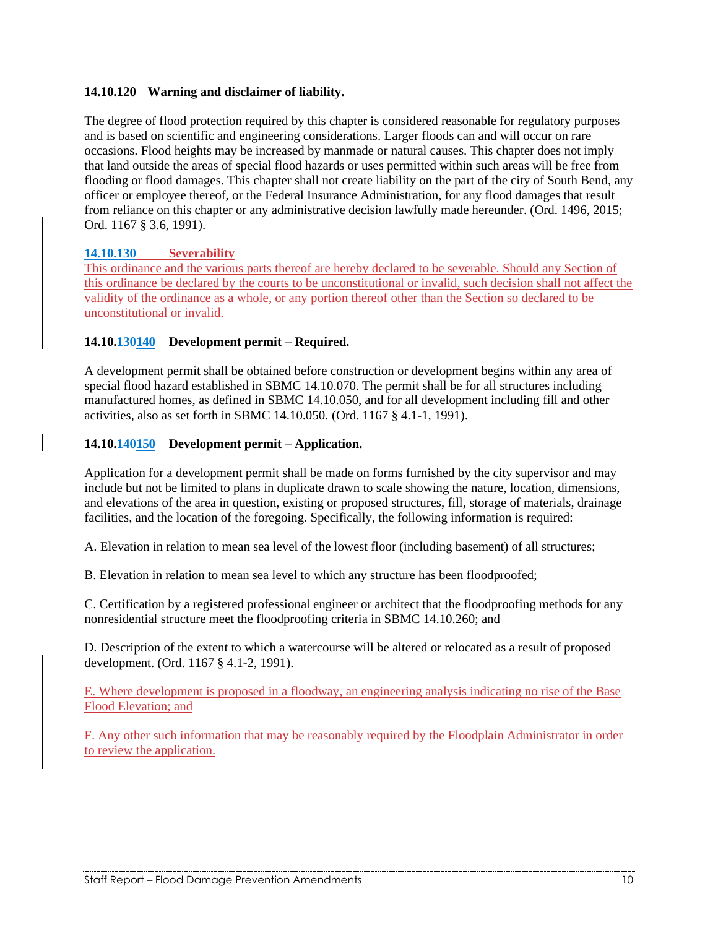## **14.10.120 Warning and disclaimer of liability.**

The degree of flood protection required by this chapter is considered reasonable for regulatory purposes and is based on scientific and engineering considerations. Larger floods can and will occur on rare occasions. Flood heights may be increased by manmade or natural causes. This chapter does not imply that land outside the areas of special flood hazards or uses permitted within such areas will be free from flooding or flood damages. This chapter shall not create liability on the part of the city of South Bend, any officer or employee thereof, or the Federal Insurance Administration, for any flood damages that result from reliance on this chapter or any administrative decision lawfully made hereunder. (Ord. 1496, 2015; Ord. 1167 § 3.6, 1991).

## **14.10.130 Severability**

This ordinance and the various parts thereof are hereby declared to be severable. Should any Section of this ordinance be declared by the courts to be unconstitutional or invalid, such decision shall not affect the validity of the ordinance as a whole, or any portion thereof other than the Section so declared to be unconstitutional or invalid.

## **14.10.130140 Development permit – Required.**

A development permit shall be obtained before construction or development begins within any area of special flood hazard established in SBMC 14.10.070. The permit shall be for all structures including manufactured homes, as defined in SBMC 14.10.050, and for all development including fill and other activities, also as set forth in SBMC 14.10.050. (Ord. 1167 § 4.1-1, 1991).

## **14.10.140150 Development permit – Application.**

Application for a development permit shall be made on forms furnished by the city supervisor and may include but not be limited to plans in duplicate drawn to scale showing the nature, location, dimensions, and elevations of the area in question, existing or proposed structures, fill, storage of materials, drainage facilities, and the location of the foregoing. Specifically, the following information is required:

A. Elevation in relation to mean sea level of the lowest floor (including basement) of all structures;

B. Elevation in relation to mean sea level to which any structure has been floodproofed;

C. Certification by a registered professional engineer or architect that the floodproofing methods for any nonresidential structure meet the floodproofing criteria in SBMC 14.10.260; and

D. Description of the extent to which a watercourse will be altered or relocated as a result of proposed development. (Ord. 1167 § 4.1-2, 1991).

E. Where development is proposed in a floodway, an engineering analysis indicating no rise of the Base Flood Elevation; and

F. Any other such information that may be reasonably required by the Floodplain Administrator in order to review the application.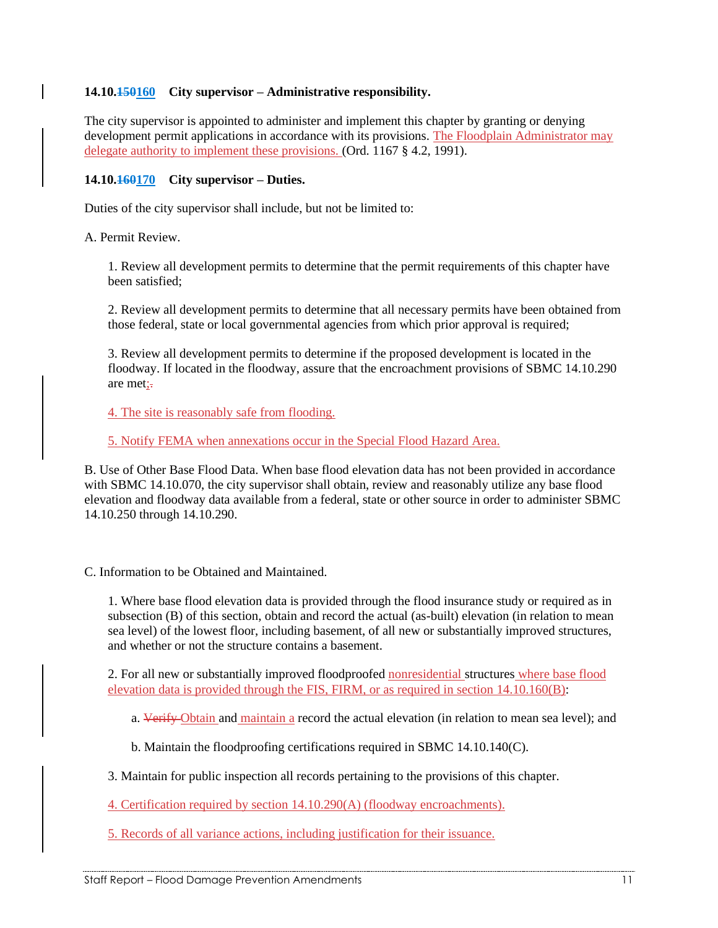## **14.10.150160 City supervisor – Administrative responsibility.**

The city supervisor is appointed to administer and implement this chapter by granting or denying development permit applications in accordance with its provisions. The Floodplain Administrator may delegate authority to implement these provisions. (Ord. 1167 § 4.2, 1991).

#### **14.10.160170 City supervisor – Duties.**

Duties of the city supervisor shall include, but not be limited to:

A. Permit Review.

1. Review all development permits to determine that the permit requirements of this chapter have been satisfied;

2. Review all development permits to determine that all necessary permits have been obtained from those federal, state or local governmental agencies from which prior approval is required;

3. Review all development permits to determine if the proposed development is located in the floodway. If located in the floodway, assure that the encroachment provisions of SBMC 14.10.290 are met:-

4. The site is reasonably safe from flooding.

5. Notify FEMA when annexations occur in the Special Flood Hazard Area.

B. Use of Other Base Flood Data. When base flood elevation data has not been provided in accordance with SBMC 14.10.070, the city supervisor shall obtain, review and reasonably utilize any base flood elevation and floodway data available from a federal, state or other source in order to administer SBMC 14.10.250 through 14.10.290.

C. Information to be Obtained and Maintained.

1. Where base flood elevation data is provided through the flood insurance study or required as in subsection (B) of this section, obtain and record the actual (as-built) elevation (in relation to mean sea level) of the lowest floor, including basement, of all new or substantially improved structures, and whether or not the structure contains a basement.

2. For all new or substantially improved floodproofed nonresidential structures where base flood elevation data is provided through the FIS, FIRM, or as required in section 14.10.160(B):

a. Verify Obtain and maintain a record the actual elevation (in relation to mean sea level); and

b. Maintain the floodproofing certifications required in SBMC 14.10.140(C).

3. Maintain for public inspection all records pertaining to the provisions of this chapter.

4. Certification required by section 14.10.290(A) (floodway encroachments).

5. Records of all variance actions, including justification for their issuance.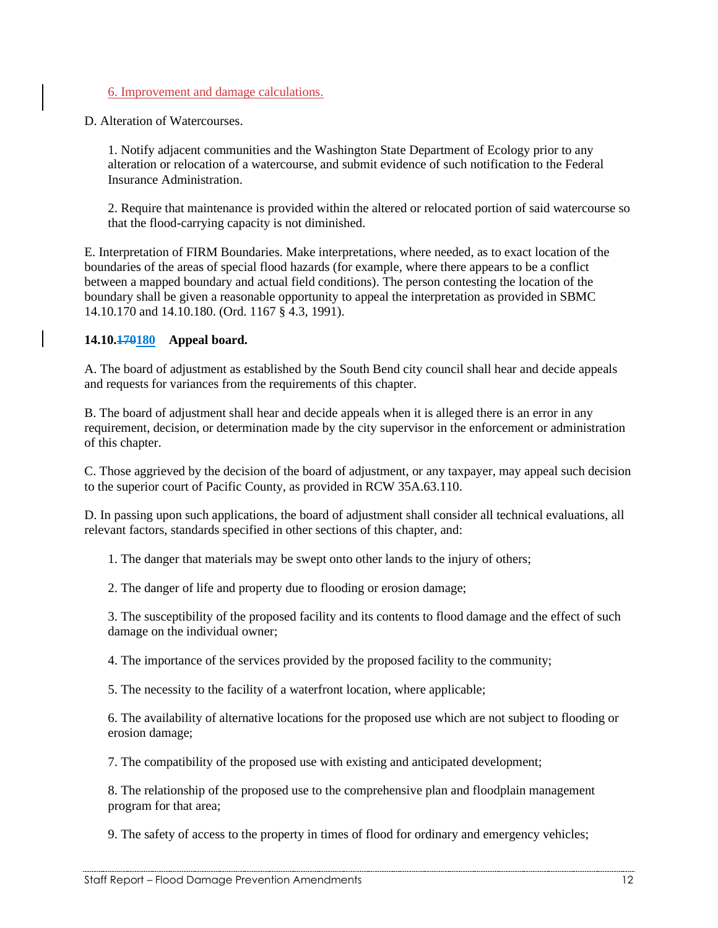## 6. Improvement and damage calculations.

D. Alteration of Watercourses.

1. Notify adjacent communities and the Washington State Department of Ecology prior to any alteration or relocation of a watercourse, and submit evidence of such notification to the Federal Insurance Administration.

2. Require that maintenance is provided within the altered or relocated portion of said watercourse so that the flood-carrying capacity is not diminished.

E. Interpretation of FIRM Boundaries. Make interpretations, where needed, as to exact location of the boundaries of the areas of special flood hazards (for example, where there appears to be a conflict between a mapped boundary and actual field conditions). The person contesting the location of the boundary shall be given a reasonable opportunity to appeal the interpretation as provided in SBMC 14.10.170 and 14.10.180. (Ord. 1167 § 4.3, 1991).

#### **14.10.170180 Appeal board.**

A. The board of adjustment as established by the South Bend city council shall hear and decide appeals and requests for variances from the requirements of this chapter.

B. The board of adjustment shall hear and decide appeals when it is alleged there is an error in any requirement, decision, or determination made by the city supervisor in the enforcement or administration of this chapter.

C. Those aggrieved by the decision of the board of adjustment, or any taxpayer, may appeal such decision to the superior court of Pacific County, as provided in RCW 35A.63.110.

D. In passing upon such applications, the board of adjustment shall consider all technical evaluations, all relevant factors, standards specified in other sections of this chapter, and:

1. The danger that materials may be swept onto other lands to the injury of others;

2. The danger of life and property due to flooding or erosion damage;

3. The susceptibility of the proposed facility and its contents to flood damage and the effect of such damage on the individual owner;

4. The importance of the services provided by the proposed facility to the community;

5. The necessity to the facility of a waterfront location, where applicable;

6. The availability of alternative locations for the proposed use which are not subject to flooding or erosion damage;

7. The compatibility of the proposed use with existing and anticipated development;

8. The relationship of the proposed use to the comprehensive plan and floodplain management program for that area;

9. The safety of access to the property in times of flood for ordinary and emergency vehicles;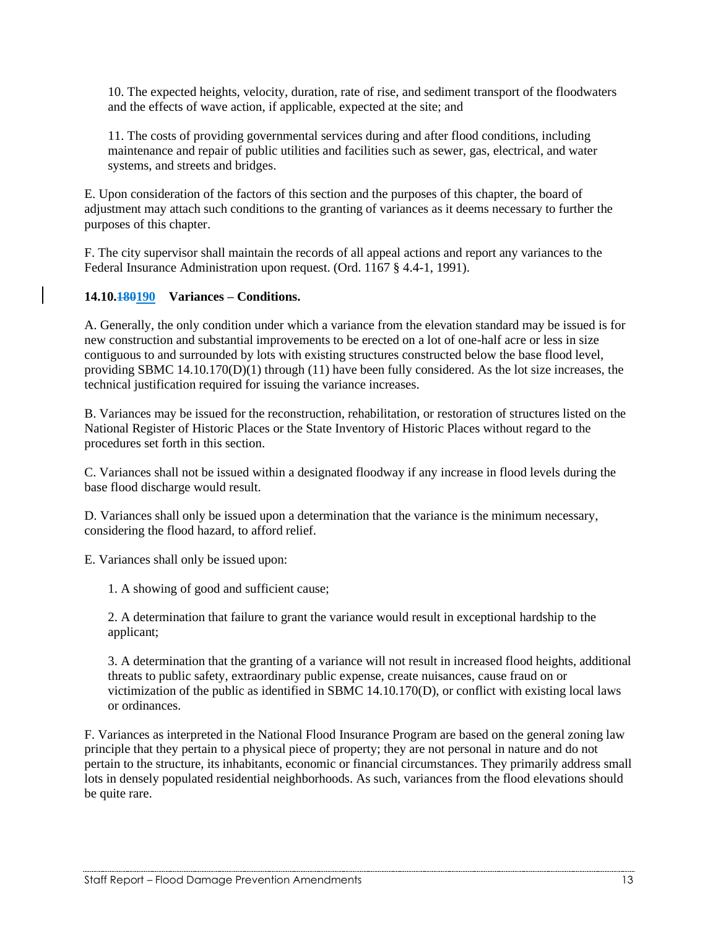10. The expected heights, velocity, duration, rate of rise, and sediment transport of the floodwaters and the effects of wave action, if applicable, expected at the site; and

11. The costs of providing governmental services during and after flood conditions, including maintenance and repair of public utilities and facilities such as sewer, gas, electrical, and water systems, and streets and bridges.

E. Upon consideration of the factors of this section and the purposes of this chapter, the board of adjustment may attach such conditions to the granting of variances as it deems necessary to further the purposes of this chapter.

F. The city supervisor shall maintain the records of all appeal actions and report any variances to the Federal Insurance Administration upon request. (Ord. 1167 § 4.4-1, 1991).

#### **14.10.180190 Variances – Conditions.**

A. Generally, the only condition under which a variance from the elevation standard may be issued is for new construction and substantial improvements to be erected on a lot of one-half acre or less in size contiguous to and surrounded by lots with existing structures constructed below the base flood level, providing SBMC 14.10.170(D)(1) through (11) have been fully considered. As the lot size increases, the technical justification required for issuing the variance increases.

B. Variances may be issued for the reconstruction, rehabilitation, or restoration of structures listed on the National Register of Historic Places or the State Inventory of Historic Places without regard to the procedures set forth in this section.

C. Variances shall not be issued within a designated floodway if any increase in flood levels during the base flood discharge would result.

D. Variances shall only be issued upon a determination that the variance is the minimum necessary, considering the flood hazard, to afford relief.

E. Variances shall only be issued upon:

1. A showing of good and sufficient cause;

2. A determination that failure to grant the variance would result in exceptional hardship to the applicant;

3. A determination that the granting of a variance will not result in increased flood heights, additional threats to public safety, extraordinary public expense, create nuisances, cause fraud on or victimization of the public as identified in SBMC 14.10.170(D), or conflict with existing local laws or ordinances.

F. Variances as interpreted in the National Flood Insurance Program are based on the general zoning law principle that they pertain to a physical piece of property; they are not personal in nature and do not pertain to the structure, its inhabitants, economic or financial circumstances. They primarily address small lots in densely populated residential neighborhoods. As such, variances from the flood elevations should be quite rare.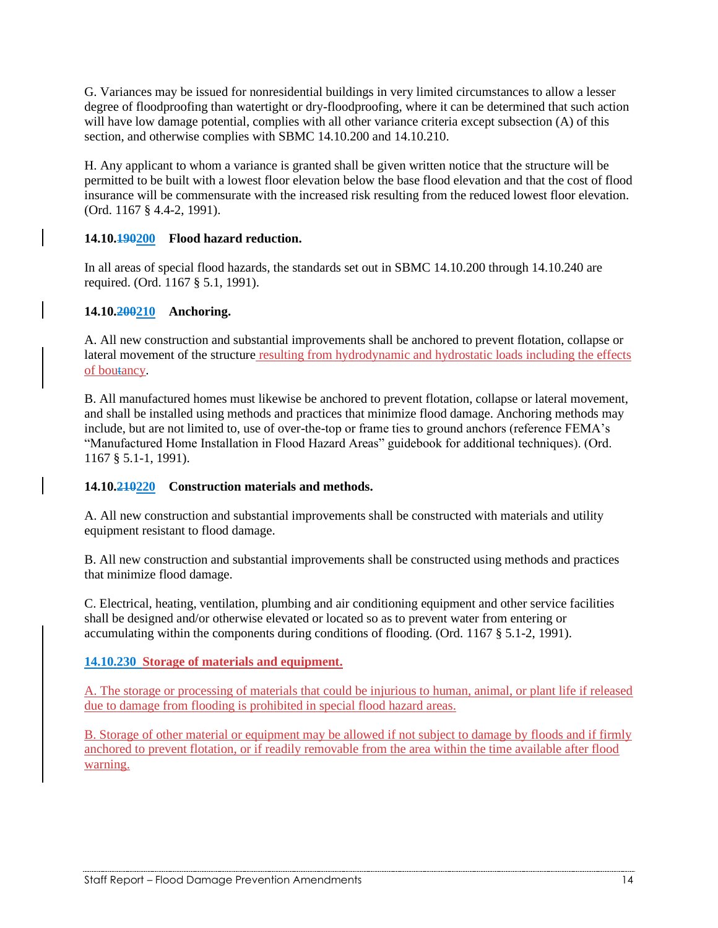G. Variances may be issued for nonresidential buildings in very limited circumstances to allow a lesser degree of floodproofing than watertight or dry-floodproofing, where it can be determined that such action will have low damage potential, complies with all other variance criteria except subsection (A) of this section, and otherwise complies with SBMC 14.10.200 and 14.10.210.

H. Any applicant to whom a variance is granted shall be given written notice that the structure will be permitted to be built with a lowest floor elevation below the base flood elevation and that the cost of flood insurance will be commensurate with the increased risk resulting from the reduced lowest floor elevation. (Ord. 1167 § 4.4-2, 1991).

## **14.10.190200 Flood hazard reduction.**

In all areas of special flood hazards, the standards set out in SBMC 14.10.200 through 14.10.240 are required. (Ord. 1167 § 5.1, 1991).

## **14.10.200210 Anchoring.**

A. All new construction and substantial improvements shall be anchored to prevent flotation, collapse or lateral movement of the structure resulting from hydrodynamic and hydrostatic loads including the effects of boutancy.

B. All manufactured homes must likewise be anchored to prevent flotation, collapse or lateral movement, and shall be installed using methods and practices that minimize flood damage. Anchoring methods may include, but are not limited to, use of over-the-top or frame ties to ground anchors (reference FEMA's "Manufactured Home Installation in Flood Hazard Areas" guidebook for additional techniques). (Ord. 1167 § 5.1-1, 1991).

## **14.10.210220 Construction materials and methods.**

A. All new construction and substantial improvements shall be constructed with materials and utility equipment resistant to flood damage.

B. All new construction and substantial improvements shall be constructed using methods and practices that minimize flood damage.

C. Electrical, heating, ventilation, plumbing and air conditioning equipment and other service facilities shall be designed and/or otherwise elevated or located so as to prevent water from entering or accumulating within the components during conditions of flooding. (Ord. 1167 § 5.1-2, 1991).

## **14.10.230 Storage of materials and equipment.**

A. The storage or processing of materials that could be injurious to human, animal, or plant life if released due to damage from flooding is prohibited in special flood hazard areas.

B. Storage of other material or equipment may be allowed if not subject to damage by floods and if firmly anchored to prevent flotation, or if readily removable from the area within the time available after flood warning.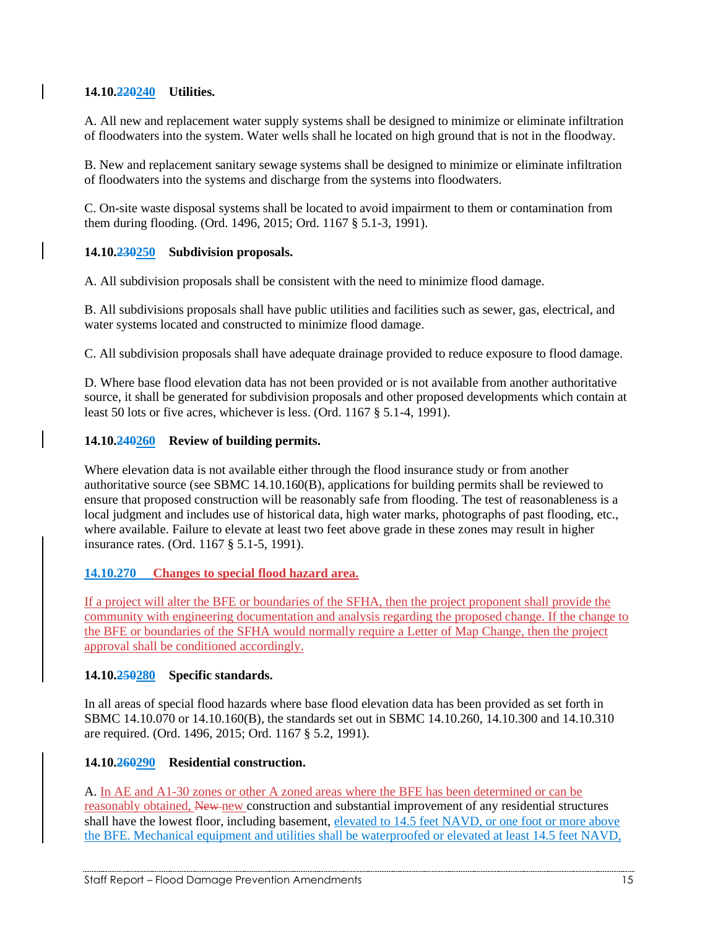## **14.10.220240 Utilities.**

A. All new and replacement water supply systems shall be designed to minimize or eliminate infiltration of floodwaters into the system. Water wells shall he located on high ground that is not in the floodway.

B. New and replacement sanitary sewage systems shall be designed to minimize or eliminate infiltration of floodwaters into the systems and discharge from the systems into floodwaters.

C. On-site waste disposal systems shall be located to avoid impairment to them or contamination from them during flooding. (Ord. 1496, 2015; Ord. 1167 § 5.1-3, 1991).

## **14.10.230250 Subdivision proposals.**

A. All subdivision proposals shall be consistent with the need to minimize flood damage.

B. All subdivisions proposals shall have public utilities and facilities such as sewer, gas, electrical, and water systems located and constructed to minimize flood damage.

C. All subdivision proposals shall have adequate drainage provided to reduce exposure to flood damage.

D. Where base flood elevation data has not been provided or is not available from another authoritative source, it shall be generated for subdivision proposals and other proposed developments which contain at least 50 lots or five acres, whichever is less. (Ord. 1167 § 5.1-4, 1991).

## **14.10.240260 Review of building permits.**

Where elevation data is not available either through the flood insurance study or from another authoritative source (see SBMC 14.10.160(B), applications for building permits shall be reviewed to ensure that proposed construction will be reasonably safe from flooding. The test of reasonableness is a local judgment and includes use of historical data, high water marks, photographs of past flooding, etc., where available. Failure to elevate at least two feet above grade in these zones may result in higher insurance rates. (Ord. 1167 § 5.1-5, 1991).

#### **14.10.270 Changes to special flood hazard area.**

If a project will alter the BFE or boundaries of the SFHA, then the project proponent shall provide the community with engineering documentation and analysis regarding the proposed change. If the change to the BFE or boundaries of the SFHA would normally require a Letter of Map Change, then the project approval shall be conditioned accordingly.

#### **14.10.250280 Specific standards.**

In all areas of special flood hazards where base flood elevation data has been provided as set forth in SBMC 14.10.070 or 14.10.160(B), the standards set out in SBMC 14.10.260, 14.10.300 and 14.10.310 are required. (Ord. 1496, 2015; Ord. 1167 § 5.2, 1991).

## **14.10.260290 Residential construction.**

A. In AE and A1-30 zones or other A zoned areas where the BFE has been determined or can be reasonably obtained, New new construction and substantial improvement of any residential structures shall have the lowest floor, including basement, elevated to 14.5 feet NAVD, or one foot or more above the BFE. Mechanical equipment and utilities shall be waterproofed or elevated at least 14.5 feet NAVD,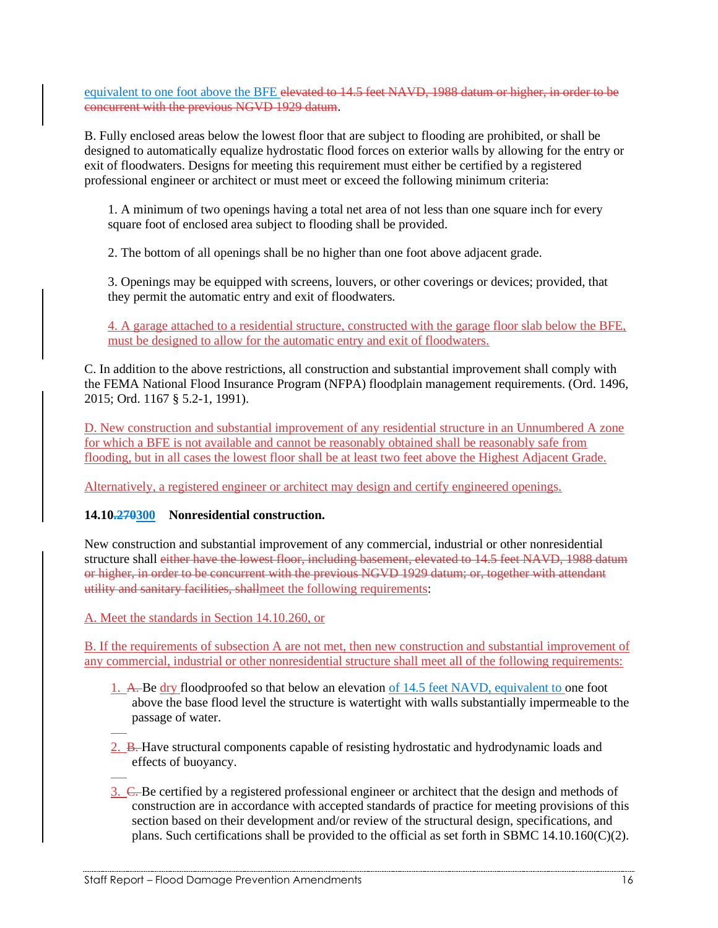equivalent to one foot above the BFE elevated to 14.5 feet NAVD, 1988 datum or higher, in order to be concurrent with the previous NGVD 1929 datum.

B. Fully enclosed areas below the lowest floor that are subject to flooding are prohibited, or shall be designed to automatically equalize hydrostatic flood forces on exterior walls by allowing for the entry or exit of floodwaters. Designs for meeting this requirement must either be certified by a registered professional engineer or architect or must meet or exceed the following minimum criteria:

1. A minimum of two openings having a total net area of not less than one square inch for every square foot of enclosed area subject to flooding shall be provided.

2. The bottom of all openings shall be no higher than one foot above adjacent grade.

3. Openings may be equipped with screens, louvers, or other coverings or devices; provided, that they permit the automatic entry and exit of floodwaters.

4. A garage attached to a residential structure, constructed with the garage floor slab below the BFE, must be designed to allow for the automatic entry and exit of floodwaters.

C. In addition to the above restrictions, all construction and substantial improvement shall comply with the FEMA National Flood Insurance Program (NFPA) floodplain management requirements. (Ord. 1496, 2015; Ord. 1167 § 5.2-1, 1991).

D. New construction and substantial improvement of any residential structure in an Unnumbered A zone for which a BFE is not available and cannot be reasonably obtained shall be reasonably safe from flooding, but in all cases the lowest floor shall be at least two feet above the Highest Adjacent Grade.

Alternatively, a registered engineer or architect may design and certify engineered openings.

#### **14.10.270300 Nonresidential construction.**

New construction and substantial improvement of any commercial, industrial or other nonresidential structure shall either have the lowest floor, including basement, elevated to 14.5 feet NAVD, 1988 datum or higher, in order to be concurrent with the previous NGVD 1929 datum; or, together with attendant utility and sanitary facilities, shallmeet the following requirements:

A. Meet the standards in Section 14.10.260, or

B. If the requirements of subsection A are not met, then new construction and substantial improvement of any commercial, industrial or other nonresidential structure shall meet all of the following requirements:

- 1. A. Be dry floodproofed so that below an elevation of 14.5 feet NAVD, equivalent to one foot above the base flood level the structure is watertight with walls substantially impermeable to the passage of water.
- 2. B. Have structural components capable of resisting hydrostatic and hydrodynamic loads and effects of buoyancy.
- 3. C. Be certified by a registered professional engineer or architect that the design and methods of construction are in accordance with accepted standards of practice for meeting provisions of this section based on their development and/or review of the structural design, specifications, and plans. Such certifications shall be provided to the official as set forth in SBMC 14.10.160(C)(2).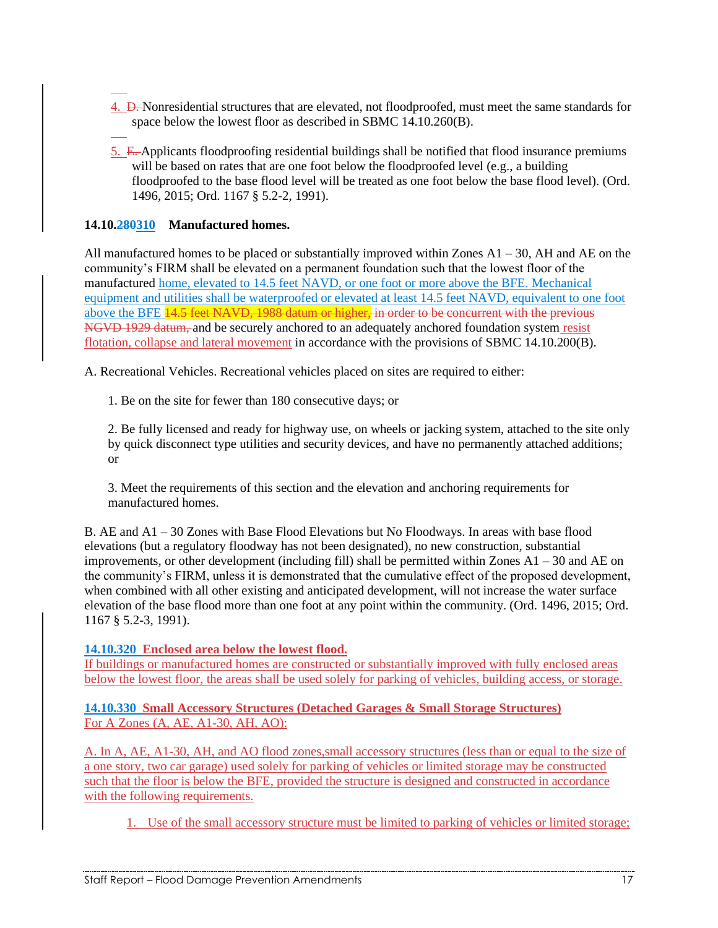- 4. D. Nonresidential structures that are elevated, not floodproofed, must meet the same standards for space below the lowest floor as described in SBMC 14.10.260(B).
- 5. E. Applicants floodproofing residential buildings shall be notified that flood insurance premiums will be based on rates that are one foot below the floodproofed level (e.g., a building floodproofed to the base flood level will be treated as one foot below the base flood level). (Ord. 1496, 2015; Ord. 1167 § 5.2-2, 1991).

## **14.10.280310 Manufactured homes.**

All manufactured homes to be placed or substantially improved within Zones  $A1 - 30$ , AH and AE on the community's FIRM shall be elevated on a permanent foundation such that the lowest floor of the manufactured home, elevated to 14.5 feet NAVD, or one foot or more above the BFE. Mechanical equipment and utilities shall be waterproofed or elevated at least 14.5 feet NAVD, equivalent to one foot above the BFE 14.5 feet NAVD, 1988 datum or higher, in order to be concurrent with the previous NGVD 1929 datum, and be securely anchored to an adequately anchored foundation system resist flotation, collapse and lateral movement in accordance with the provisions of SBMC 14.10.200(B).

A. Recreational Vehicles. Recreational vehicles placed on sites are required to either:

1. Be on the site for fewer than 180 consecutive days; or

2. Be fully licensed and ready for highway use, on wheels or jacking system, attached to the site only by quick disconnect type utilities and security devices, and have no permanently attached additions; or

3. Meet the requirements of this section and the elevation and anchoring requirements for manufactured homes.

B. AE and A1 – 30 Zones with Base Flood Elevations but No Floodways. In areas with base flood elevations (but a regulatory floodway has not been designated), no new construction, substantial improvements, or other development (including fill) shall be permitted within Zones A1 – 30 and AE on the community's FIRM, unless it is demonstrated that the cumulative effect of the proposed development, when combined with all other existing and anticipated development, will not increase the water surface elevation of the base flood more than one foot at any point within the community. (Ord. 1496, 2015; Ord. 1167 § 5.2-3, 1991).

**14.10.320 Enclosed area below the lowest flood.**

If buildings or manufactured homes are constructed or substantially improved with fully enclosed areas below the lowest floor, the areas shall be used solely for parking of vehicles, building access, or storage.

**14.10.330 Small Accessory Structures (Detached Garages & Small Storage Structures)** For A Zones (A, AE, A1-30, AH, AO):

A. In A, AE, A1-30, AH, and AO flood zones,small accessory structures (less than or equal to the size of a one story, two car garage) used solely for parking of vehicles or limited storage may be constructed such that the floor is below the BFE, provided the structure is designed and constructed in accordance with the following requirements.

1. Use of the small accessory structure must be limited to parking of vehicles or limited storage;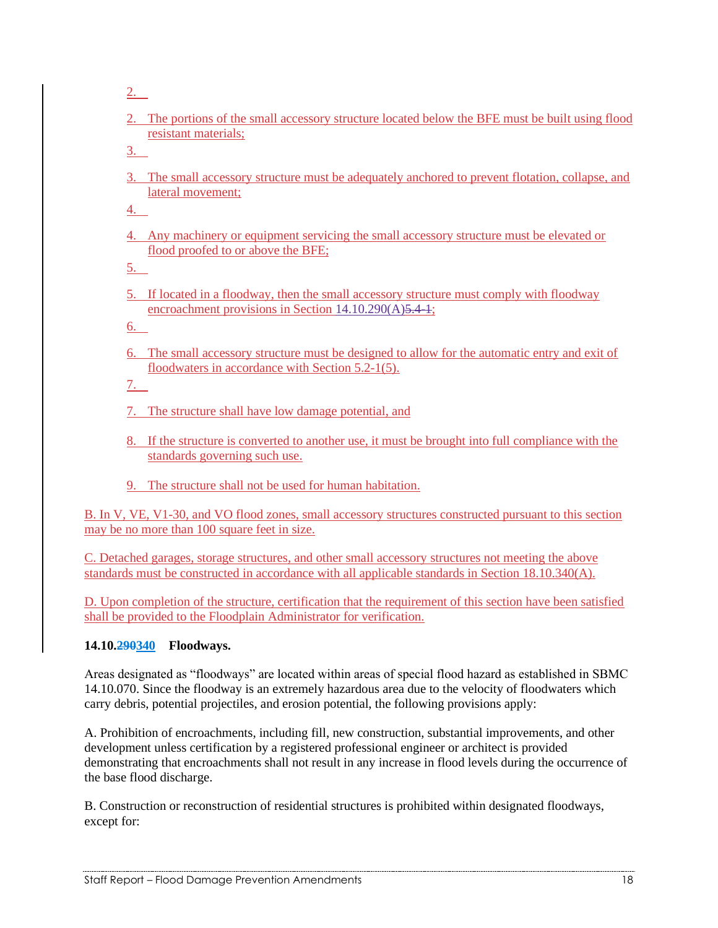2.

2. The portions of the small accessory structure located below the BFE must be built using flood resistant materials;

3.

3. The small accessory structure must be adequately anchored to prevent flotation, collapse, and lateral movement;

4.

4. Any machinery or equipment servicing the small accessory structure must be elevated or flood proofed to or above the BFE;

5.

5. If located in a floodway, then the small accessory structure must comply with floodway encroachment provisions in Section 14.10.290(A) 5.4-1;

6.

6. The small accessory structure must be designed to allow for the automatic entry and exit of floodwaters in accordance with Section 5.2-1(5).

7.

- 7. The structure shall have low damage potential, and
- 8. If the structure is converted to another use, it must be brought into full compliance with the standards governing such use.
- 9. The structure shall not be used for human habitation.

B. In V, VE, V1-30, and VO flood zones, small accessory structures constructed pursuant to this section may be no more than 100 square feet in size.

C. Detached garages, storage structures, and other small accessory structures not meeting the above standards must be constructed in accordance with all applicable standards in Section 18.10.340(A).

D. Upon completion of the structure, certification that the requirement of this section have been satisfied shall be provided to the Floodplain Administrator for verification.

## **14.10.290340 Floodways.**

Areas designated as "floodways" are located within areas of special flood hazard as established in SBMC 14.10.070. Since the floodway is an extremely hazardous area due to the velocity of floodwaters which carry debris, potential projectiles, and erosion potential, the following provisions apply:

A. Prohibition of encroachments, including fill, new construction, substantial improvements, and other development unless certification by a registered professional engineer or architect is provided demonstrating that encroachments shall not result in any increase in flood levels during the occurrence of the base flood discharge.

B. Construction or reconstruction of residential structures is prohibited within designated floodways, except for: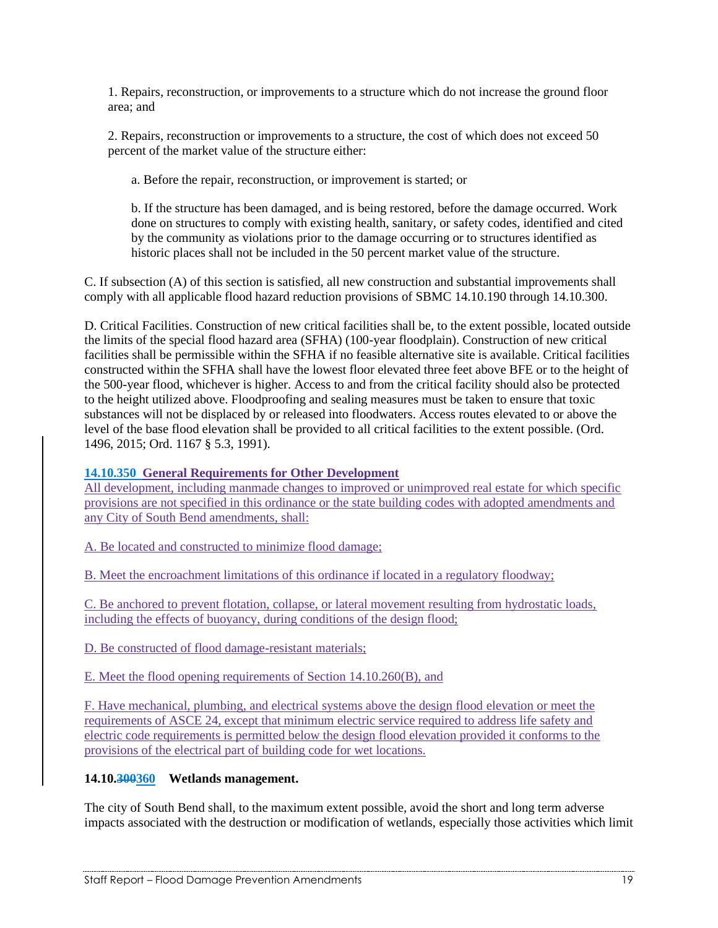1. Repairs, reconstruction, or improvements to a structure which do not increase the ground floor area; and

2. Repairs, reconstruction or improvements to a structure, the cost of which does not exceed 50 percent of the market value of the structure either:

a. Before the repair, reconstruction, or improvement is started; or

b. If the structure has been damaged, and is being restored, before the damage occurred. Work done on structures to comply with existing health, sanitary, or safety codes, identified and cited by the community as violations prior to the damage occurring or to structures identified as historic places shall not be included in the 50 percent market value of the structure.

C. If subsection (A) of this section is satisfied, all new construction and substantial improvements shall comply with all applicable flood hazard reduction provisions of SBMC 14.10.190 through 14.10.300.

D. Critical Facilities. Construction of new critical facilities shall be, to the extent possible, located outside the limits of the special flood hazard area (SFHA) (100-year floodplain). Construction of new critical facilities shall be permissible within the SFHA if no feasible alternative site is available. Critical facilities constructed within the SFHA shall have the lowest floor elevated three feet above BFE or to the height of the 500-year flood, whichever is higher. Access to and from the critical facility should also be protected to the height utilized above. Floodproofing and sealing measures must be taken to ensure that toxic substances will not be displaced by or released into floodwaters. Access routes elevated to or above the level of the base flood elevation shall be provided to all critical facilities to the extent possible. (Ord. 1496, 2015; Ord. 1167 § 5.3, 1991).

#### **14.10.350 General Requirements for Other Development**

All development, including manmade changes to improved or unimproved real estate for which specific provisions are not specified in this ordinance or the state building codes with adopted amendments and any City of South Bend amendments, shall:

A. Be located and constructed to minimize flood damage;

B. Meet the encroachment limitations of this ordinance if located in a regulatory floodway;

C. Be anchored to prevent flotation, collapse, or lateral movement resulting from hydrostatic loads, including the effects of buoyancy, during conditions of the design flood;

D. Be constructed of flood damage-resistant materials;

E. Meet the flood opening requirements of Section 14.10.260(B), and

F. Have mechanical, plumbing, and electrical systems above the design flood elevation or meet the requirements of ASCE 24, except that minimum electric service required to address life safety and electric code requirements is permitted below the design flood elevation provided it conforms to the provisions of the electrical part of building code for wet locations.

#### **14.10.300360 Wetlands management.**

The city of South Bend shall, to the maximum extent possible, avoid the short and long term adverse impacts associated with the destruction or modification of wetlands, especially those activities which limit